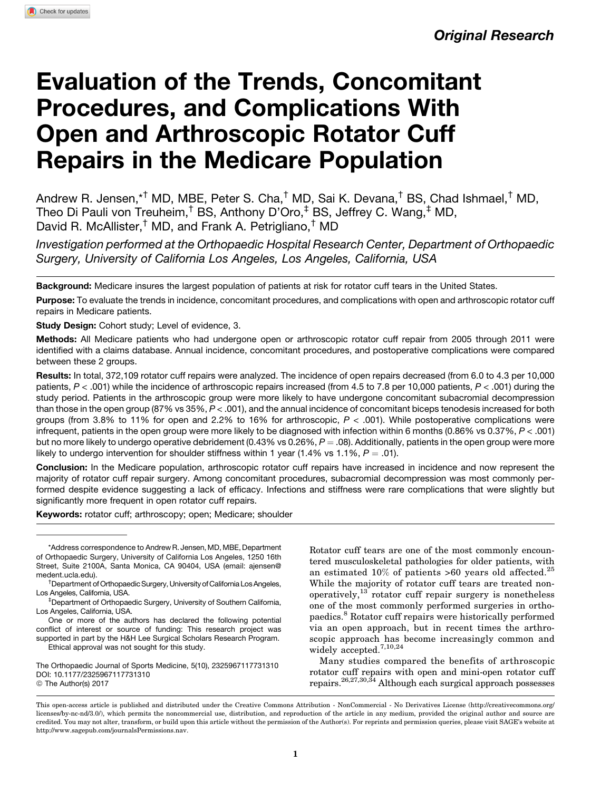# Evaluation of the Trends, Concomitant Procedures, and Complications With Open and Arthroscopic Rotator Cuff Repairs in the Medicare Population

Andrew R. Jensen,\*† MD, MBE, Peter S. Cha,† MD, Sai K. Devana,† BS, Chad Ishmael,† MD, Theo Di Pauli von Treuheim,† BS, Anthony D'Oro,‡ BS, Jeffrey C. Wang,‡ MD, David R. McAllister,<sup>†</sup> MD, and Frank A. Petrigliano,<sup>†</sup> MD

Investigation performed at the Orthopaedic Hospital Research Center, Department of Orthopaedic Surgery, University of California Los Angeles, Los Angeles, California, USA

Background: Medicare insures the largest population of patients at risk for rotator cuff tears in the United States.

Purpose: To evaluate the trends in incidence, concomitant procedures, and complications with open and arthroscopic rotator cuff repairs in Medicare patients.

Study Design: Cohort study; Level of evidence, 3.

Methods: All Medicare patients who had undergone open or arthroscopic rotator cuff repair from 2005 through 2011 were identified with a claims database. Annual incidence, concomitant procedures, and postoperative complications were compared between these 2 groups.

Results: In total, 372,109 rotator cuff repairs were analyzed. The incidence of open repairs decreased (from 6.0 to 4.3 per 10,000 patients,  $P < .001$ ) while the incidence of arthroscopic repairs increased (from 4.5 to 7.8 per 10,000 patients,  $P < .001$ ) during the study period. Patients in the arthroscopic group were more likely to have undergone concomitant subacromial decompression than those in the open group (87% vs  $35\%, P < .001$ ), and the annual incidence of concomitant biceps tenodesis increased for both groups (from  $3.8\%$  to 11% for open and  $2.2\%$  to 16% for arthroscopic,  $P < .001$ ). While postoperative complications were infrequent, patients in the open group were more likely to be diagnosed with infection within 6 months (0.86% vs 0.37%, P < .001) but no more likely to undergo operative debridement (0.43% vs 0.26%,  $P = .08$ ). Additionally, patients in the open group were more likely to undergo intervention for shoulder stiffness within 1 year (1.4% vs 1.1%,  $P = .01$ ).

Conclusion: In the Medicare population, arthroscopic rotator cuff repairs have increased in incidence and now represent the majority of rotator cuff repair surgery. Among concomitant procedures, subacromial decompression was most commonly performed despite evidence suggesting a lack of efficacy. Infections and stiffness were rare complications that were slightly but significantly more frequent in open rotator cuff repairs.

Keywords: rotator cuff; arthroscopy; open; Medicare; shoulder

\*Address correspondence to Andrew R. Jensen, MD, MBE, Department of Orthopaedic Surgery, University of California Los Angeles, 1250 16th Street, Suite 2100A, Santa Monica, CA 90404, USA (email: [ajensen@](mailto:ajensen@medent.ucla.edu) [medent.ucla.edu](mailto:ajensen@medent.ucla.edu)). †

<sup>†</sup>Department of Orthopaedic Surgery, University of California Los Angeles, Los Angeles, California, USA.

One or more of the authors has declared the following potential conflict of interest or source of funding: This research project was supported in part by the H&H Lee Surgical Scholars Research Program.

Ethical approval was not sought for this study.

The Orthopaedic Journal of Sports Medicine, 5(10), 2325967117731310 [DOI: 10.1177/2325967117731310](https://doi.org/) © The Author(s) 2017

Rotator cuff tears are one of the most commonly encountered musculoskeletal pathologies for older patients, with an estimated  $10\%$  of patients >60 years old affected.<sup>25</sup> While the majority of rotator cuff tears are treated nonoperatively, $13$  rotator cuff repair surgery is nonetheless one of the most commonly performed surgeries in orthopaedics.<sup>8</sup> Rotator cuff repairs were historically performed via an open approach, but in recent times the arthroscopic approach has become increasingly common and widely accepted.<sup>7,10,24</sup>

Many studies compared the benefits of arthroscopic rotator cuff repairs with open and mini-open rotator cuff repairs.26,27,30,34 Although each surgical approach possesses

This open-access article is published and distributed under the Creative Commons Attribution - NonCommercial - No Derivatives License (http://creativecommons.org/ licenses/by-nc-nd/3.0/), which permits the noncommercial use, distribution, and reproduction of the article in any medium, provided the original author and source are credited. You may not alter, transform, or build upon this article without the permission of the Author(s). For reprints and permission queries, please visit SAGE's website at http://www.sagepub.com/journalsPermissions.nav.

Department of Orthopaedic Surgery, University of Southern California, Los Angeles, California, USA.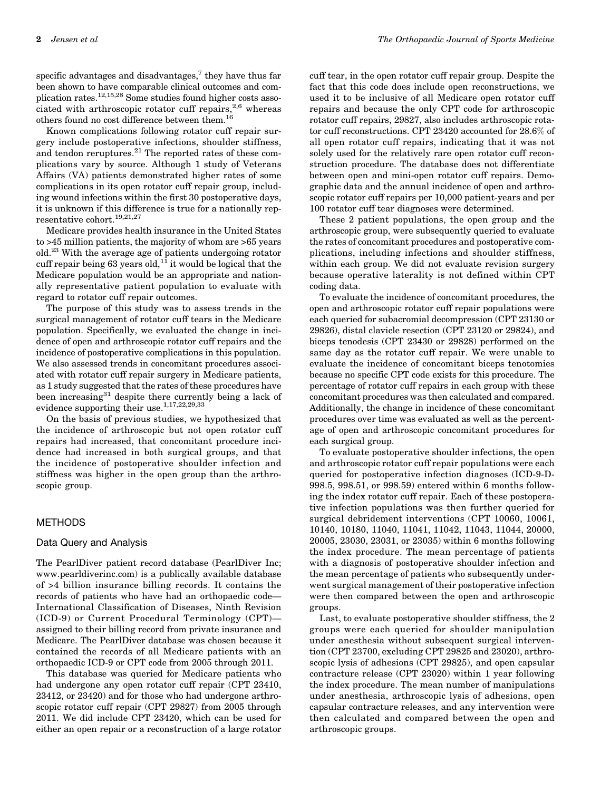specific advantages and disadvantages, $7$  they have thus far been shown to have comparable clinical outcomes and complication rates.12,15,28 Some studies found higher costs associated with arthroscopic rotator cuff repairs, $2,6$  whereas others found no cost difference between them.  $^{16}$ 

Known complications following rotator cuff repair surgery include postoperative infections, shoulder stiffness, and tendon reruptures. $^{21}$  The reported rates of these complications vary by source. Although 1 study of Veterans Affairs (VA) patients demonstrated higher rates of some complications in its open rotator cuff repair group, including wound infections within the first 30 postoperative days, it is unknown if this difference is true for a nationally representative cohort.<sup>19,21,27</sup>

Medicare provides health insurance in the United States to >45 million patients, the majority of whom are >65 years old.23 With the average age of patients undergoing rotator cuff repair being 63 years old,  $^{11}$  it would be logical that the Medicare population would be an appropriate and nationally representative patient population to evaluate with regard to rotator cuff repair outcomes.

The purpose of this study was to assess trends in the surgical management of rotator cuff tears in the Medicare population. Specifically, we evaluated the change in incidence of open and arthroscopic rotator cuff repairs and the incidence of postoperative complications in this population. We also assessed trends in concomitant procedures associated with rotator cuff repair surgery in Medicare patients, as 1 study suggested that the rates of these procedures have been increasing<sup>31</sup> despite there currently being a lack of evidence supporting their use.1,17,22,29,33

On the basis of previous studies, we hypothesized that the incidence of arthroscopic but not open rotator cuff repairs had increased, that concomitant procedure incidence had increased in both surgical groups, and that the incidence of postoperative shoulder infection and stiffness was higher in the open group than the arthroscopic group.

# **METHODS**

## Data Query and Analysis

The PearlDiver patient record database (PearlDiver Inc; www.pearldiverinc.com) is a publically available database of >4 billion insurance billing records. It contains the records of patients who have had an orthopaedic code— International Classification of Diseases, Ninth Revision (ICD-9) or Current Procedural Terminology (CPT) assigned to their billing record from private insurance and Medicare. The PearlDiver database was chosen because it contained the records of all Medicare patients with an orthopaedic ICD-9 or CPT code from 2005 through 2011.

This database was queried for Medicare patients who had undergone any open rotator cuff repair (CPT 23410, 23412, or 23420) and for those who had undergone arthroscopic rotator cuff repair (CPT 29827) from 2005 through 2011. We did include CPT 23420, which can be used for either an open repair or a reconstruction of a large rotator cuff tear, in the open rotator cuff repair group. Despite the fact that this code does include open reconstructions, we used it to be inclusive of all Medicare open rotator cuff repairs and because the only CPT code for arthroscopic rotator cuff repairs, 29827, also includes arthroscopic rotator cuff reconstructions. CPT 23420 accounted for 28.6% of all open rotator cuff repairs, indicating that it was not solely used for the relatively rare open rotator cuff reconstruction procedure. The database does not differentiate between open and mini-open rotator cuff repairs. Demographic data and the annual incidence of open and arthroscopic rotator cuff repairs per 10,000 patient-years and per 100 rotator cuff tear diagnoses were determined.

These 2 patient populations, the open group and the arthroscopic group, were subsequently queried to evaluate the rates of concomitant procedures and postoperative complications, including infections and shoulder stiffness, within each group. We did not evaluate revision surgery because operative laterality is not defined within CPT coding data.

To evaluate the incidence of concomitant procedures, the open and arthroscopic rotator cuff repair populations were each queried for subacromial decompression (CPT 23130 or 29826), distal clavicle resection (CPT 23120 or 29824), and biceps tenodesis (CPT 23430 or 29828) performed on the same day as the rotator cuff repair. We were unable to evaluate the incidence of concomitant biceps tenotomies because no specific CPT code exists for this procedure. The percentage of rotator cuff repairs in each group with these concomitant procedures was then calculated and compared. Additionally, the change in incidence of these concomitant procedures over time was evaluated as well as the percentage of open and arthroscopic concomitant procedures for each surgical group.

To evaluate postoperative shoulder infections, the open and arthroscopic rotator cuff repair populations were each queried for postoperative infection diagnoses (ICD-9-D-998.5, 998.51, or 998.59) entered within 6 months following the index rotator cuff repair. Each of these postoperative infection populations was then further queried for surgical debridement interventions (CPT 10060, 10061, 10140, 10180, 11040, 11041, 11042, 11043, 11044, 20000, 20005, 23030, 23031, or 23035) within 6 months following the index procedure. The mean percentage of patients with a diagnosis of postoperative shoulder infection and the mean percentage of patients who subsequently underwent surgical management of their postoperative infection were then compared between the open and arthroscopic groups.

Last, to evaluate postoperative shoulder stiffness, the 2 groups were each queried for shoulder manipulation under anesthesia without subsequent surgical intervention (CPT 23700, excluding CPT 29825 and 23020), arthroscopic lysis of adhesions (CPT 29825), and open capsular contracture release (CPT 23020) within 1 year following the index procedure. The mean number of manipulations under anesthesia, arthroscopic lysis of adhesions, open capsular contracture releases, and any intervention were then calculated and compared between the open and arthroscopic groups.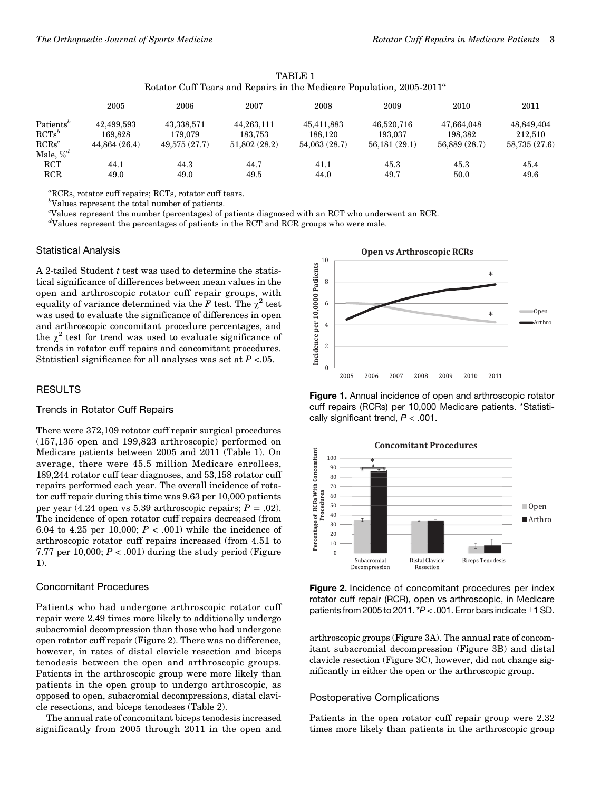|                                   | Trotatol Call Teals and Repairs in the Medicale Population, 2000 2011 |                       |                       |                       |                       |                       |                       |  |  |
|-----------------------------------|-----------------------------------------------------------------------|-----------------------|-----------------------|-----------------------|-----------------------|-----------------------|-----------------------|--|--|
|                                   | 2005                                                                  | 2006                  | 2007                  | 2008                  | 2009                  | 2010                  | 2011                  |  |  |
| Patients <sup>b</sup><br>$RCTs^b$ | 42,499,593<br>169.828                                                 | 43.338.571<br>179.079 | 44.263.111<br>183.753 | 45.411.883<br>188.120 | 46.520.716<br>193.037 | 47.664.048<br>198.382 | 48.849.404<br>212,510 |  |  |
| $RCRs^c$                          | 44.864 (26.4)                                                         | 49,575 (27.7)         | 51.802(28.2)          | 54,063 (28.7)         | 56.181(29.1)          | 56.889 (28.7)         | 58,735 (27.6)         |  |  |
| Male, $\%^d$<br><b>RCT</b>        | 44.1                                                                  | 44.3                  | 44.7                  | 41.1                  | 45.3                  | 45.3                  | 45.4                  |  |  |
| RCR                               | 49.0                                                                  | 49.0                  | 49.5                  | 44.0                  | 49.7                  | 50.0                  | 49.6                  |  |  |

TABLE 1 Rotator Cuff Tears and Repairs in the Medicare Population,  $2005-2011^{\circ}$ 

a RCRs, rotator cuff repairs; RCTs, rotator cuff tears.

 $b$ Values represent the total number of patients.

c Values represent the number (percentages) of patients diagnosed with an RCT who underwent an RCR.

d Values represent the percentages of patients in the RCT and RCR groups who were male.

#### Statistical Analysis

A 2-tailed Student  $t$  test was used to determine the statistical significance of differences between mean values in the open and arthroscopic rotator cuff repair groups, with equality of variance determined via the F test. The  $\chi^2$  test was used to evaluate the significance of differences in open and arthroscopic concomitant procedure percentages, and the  $\chi^2$  test for trend was used to evaluate significance of trends in rotator cuff repairs and concomitant procedures. Statistical significance for all analyses was set at  $P < 0.05$ .

## RESULTS

## Trends in Rotator Cuff Repairs

There were 372,109 rotator cuff repair surgical procedures (157,135 open and 199,823 arthroscopic) performed on Medicare patients between 2005 and 2011 (Table 1). On average, there were 45.5 million Medicare enrollees, 189,244 rotator cuff tear diagnoses, and 53,158 rotator cuff repairs performed each year. The overall incidence of rotator cuff repair during this time was 9.63 per 10,000 patients per year (4.24 open vs 5.39 arthroscopic repairs;  $P = .02$ ). The incidence of open rotator cuff repairs decreased (from 6.04 to 4.25 per 10,000;  $P < .001$ ) while the incidence of arthroscopic rotator cuff repairs increased (from 4.51 to 7.77 per 10,000;  $P < .001$ ) during the study period (Figure 1).

#### Concomitant Procedures

Patients who had undergone arthroscopic rotator cuff repair were 2.49 times more likely to additionally undergo subacromial decompression than those who had undergone open rotator cuff repair (Figure 2). There was no difference, however, in rates of distal clavicle resection and biceps tenodesis between the open and arthroscopic groups. Patients in the arthroscopic group were more likely than patients in the open group to undergo arthroscopic, as opposed to open, subacromial decompressions, distal clavicle resections, and biceps tenodeses (Table 2).

The annual rate of concomitant biceps tenodesis increased significantly from 2005 through 2011 in the open and



Figure 1. Annual incidence of open and arthroscopic rotator cuff repairs (RCRs) per 10,000 Medicare patients. \*Statistically significant trend,  $P < .001$ .



Figure 2. Incidence of concomitant procedures per index rotator cuff repair (RCR), open vs arthroscopic, in Medicare patients from 2005 to 2011. \*P< .001. Error bars indicate ±1 SD.

arthroscopic groups (Figure 3A). The annual rate of concomitant subacromial decompression (Figure 3B) and distal clavicle resection (Figure 3C), however, did not change significantly in either the open or the arthroscopic group.

#### Postoperative Complications

Patients in the open rotator cuff repair group were 2.32 times more likely than patients in the arthroscopic group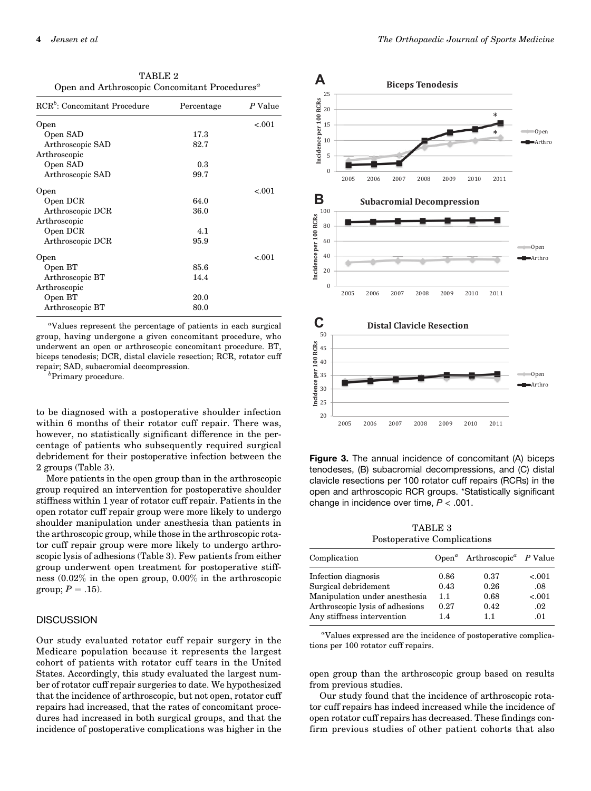TABLE 2 Open and Arthroscopic Concomitant Procedures<sup>a</sup>

| RCR <sup>b</sup> : Concomitant Procedure | Percentage | P Value |
|------------------------------------------|------------|---------|
| Open                                     |            | < 0.001 |
| Open SAD                                 | 17.3       |         |
| Arthroscopic SAD                         | 82.7       |         |
| Arthroscopic                             |            |         |
| Open SAD                                 | 0.3        |         |
| Arthroscopic SAD                         | 99.7       |         |
| Open                                     |            | $-.001$ |
| Open DCR                                 | 64.0       |         |
| Arthroscopic DCR                         | 36.0       |         |
| Arthroscopic                             |            |         |
| Open DCR                                 | 4.1        |         |
| Arthroscopic DCR                         | 95.9       |         |
| Open                                     |            | $-.001$ |
| Open BT                                  | 85.6       |         |
| Arthroscopic BT                          | 14.4       |         |
| Arthroscopic                             |            |         |
| Open BT                                  | 20.0       |         |
| Arthroscopic BT                          | 80.0       |         |

a Values represent the percentage of patients in each surgical group, having undergone a given concomitant procedure, who underwent an open or arthroscopic concomitant procedure. BT, biceps tenodesis; DCR, distal clavicle resection; RCR, rotator cuff repair; SAD, subacromial decompression. <sup>b</sup>

 ${}^{b}$ Primary procedure.

to be diagnosed with a postoperative shoulder infection within 6 months of their rotator cuff repair. There was, however, no statistically significant difference in the percentage of patients who subsequently required surgical debridement for their postoperative infection between the 2 groups (Table 3).

More patients in the open group than in the arthroscopic group required an intervention for postoperative shoulder stiffness within 1 year of rotator cuff repair. Patients in the open rotator cuff repair group were more likely to undergo shoulder manipulation under anesthesia than patients in the arthroscopic group, while those in the arthroscopic rotator cuff repair group were more likely to undergo arthroscopic lysis of adhesions (Table 3). Few patients from either group underwent open treatment for postoperative stiffness (0.02% in the open group, 0.00% in the arthroscopic group;  $P = .15$ ).

# **DISCUSSION**

Our study evaluated rotator cuff repair surgery in the Medicare population because it represents the largest cohort of patients with rotator cuff tears in the United States. Accordingly, this study evaluated the largest number of rotator cuff repair surgeries to date. We hypothesized that the incidence of arthroscopic, but not open, rotator cuff repairs had increased, that the rates of concomitant procedures had increased in both surgical groups, and that the incidence of postoperative complications was higher in the



Figure 3. The annual incidence of concomitant (A) biceps tenodeses, (B) subacromial decompressions, and (C) distal clavicle resections per 100 rotator cuff repairs (RCRs) in the open and arthroscopic RCR groups. \*Statistically significant change in incidence over time,  $P < .001$ .

TABLE 3 Postoperative Complications

| Complication                    |      | Open <sup>a</sup> Arthroscopic <sup>a</sup> P Value |         |
|---------------------------------|------|-----------------------------------------------------|---------|
| Infection diagnosis             | 0.86 | 0.37                                                | < 0.001 |
| Surgical debridement            | 0.43 | 0.26                                                | .08     |
| Manipulation under anesthesia   | 1.1  | 0.68                                                | < 0.001 |
| Arthroscopic lysis of adhesions | 0.27 | 0.42                                                | .02     |
| Any stiffness intervention      | 1.4  | 11                                                  | .01     |

a Values expressed are the incidence of postoperative complications per 100 rotator cuff repairs.

open group than the arthroscopic group based on results from previous studies.

Our study found that the incidence of arthroscopic rotator cuff repairs has indeed increased while the incidence of open rotator cuff repairs has decreased. These findings confirm previous studies of other patient cohorts that also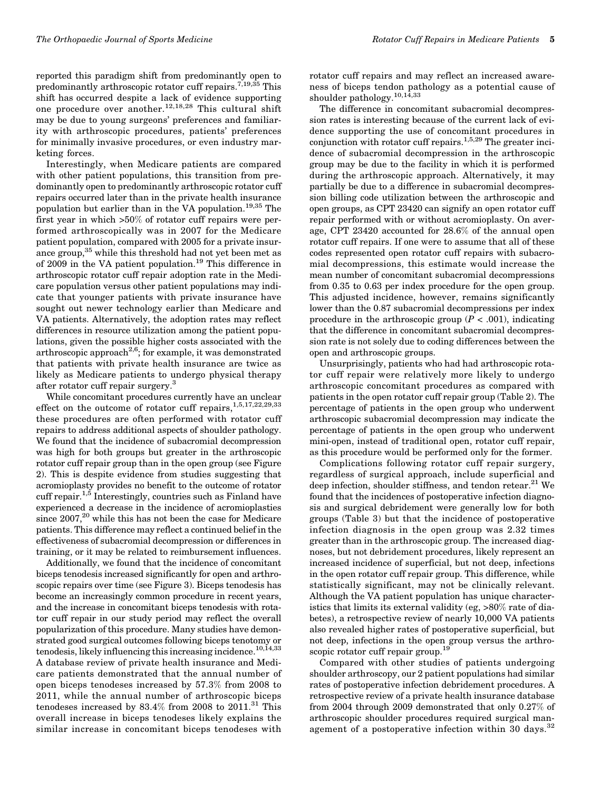reported this paradigm shift from predominantly open to predominantly arthroscopic rotator cuff repairs.<sup>7,19,35</sup> This shift has occurred despite a lack of evidence supporting one procedure over another.<sup>12,18,28</sup> This cultural shift may be due to young surgeons' preferences and familiarity with arthroscopic procedures, patients' preferences for minimally invasive procedures, or even industry marketing forces.

Interestingly, when Medicare patients are compared with other patient populations, this transition from predominantly open to predominantly arthroscopic rotator cuff repairs occurred later than in the private health insurance population but earlier than in the VA population.19,35 The first year in which >50% of rotator cuff repairs were performed arthroscopically was in 2007 for the Medicare patient population, compared with 2005 for a private insurance group,<sup>35</sup> while this threshold had not yet been met as of 2009 in the VA patient population.<sup>19</sup> This difference in arthroscopic rotator cuff repair adoption rate in the Medicare population versus other patient populations may indicate that younger patients with private insurance have sought out newer technology earlier than Medicare and VA patients. Alternatively, the adoption rates may reflect differences in resource utilization among the patient populations, given the possible higher costs associated with the arthroscopic approach<sup>2,6</sup>; for example, it was demonstrated that patients with private health insurance are twice as likely as Medicare patients to undergo physical therapy after rotator cuff repair surgery.<sup>3</sup>

While concomitant procedures currently have an unclear effect on the outcome of rotator cuff repairs,  $1,5,17,22,29,33$ these procedures are often performed with rotator cuff repairs to address additional aspects of shoulder pathology. We found that the incidence of subacromial decompression was high for both groups but greater in the arthroscopic rotator cuff repair group than in the open group (see Figure 2). This is despite evidence from studies suggesting that acromioplasty provides no benefit to the outcome of rotator cuff repair.<sup>1,5</sup> Interestingly, countries such as Finland have experienced a decrease in the incidence of acromioplasties since  $2007$ ,<sup>20</sup> while this has not been the case for Medicare patients. This difference may reflect a continued belief in the effectiveness of subacromial decompression or differences in training, or it may be related to reimbursement influences.

Additionally, we found that the incidence of concomitant biceps tenodesis increased significantly for open and arthroscopic repairs over time (see Figure 3). Biceps tenodesis has become an increasingly common procedure in recent years, and the increase in concomitant biceps tenodesis with rotator cuff repair in our study period may reflect the overall popularization of this procedure. Many studies have demonstrated good surgical outcomes following biceps tenotomy or tenodesis, likely influencing this increasing incidence.<sup>10,14,33</sup> A database review of private health insurance and Medicare patients demonstrated that the annual number of open biceps tenodeses increased by 57.3% from 2008 to 2011, while the annual number of arthroscopic biceps tenodeses increased by  $83.4\%$  from 2008 to  $2011.^{31}$  This overall increase in biceps tenodeses likely explains the similar increase in concomitant biceps tenodeses with rotator cuff repairs and may reflect an increased awareness of biceps tendon pathology as a potential cause of shoulder pathology.<sup>10,14,33</sup>

The difference in concomitant subacromial decompression rates is interesting because of the current lack of evidence supporting the use of concomitant procedures in conjunction with rotator cuff repairs.<sup>1,5,29</sup> The greater incidence of subacromial decompression in the arthroscopic group may be due to the facility in which it is performed during the arthroscopic approach. Alternatively, it may partially be due to a difference in subacromial decompression billing code utilization between the arthroscopic and open groups, as CPT 23420 can signify an open rotator cuff repair performed with or without acromioplasty. On average, CPT 23420 accounted for 28.6% of the annual open rotator cuff repairs. If one were to assume that all of these codes represented open rotator cuff repairs with subacromial decompressions, this estimate would increase the mean number of concomitant subacromial decompressions from 0.35 to 0.63 per index procedure for the open group. This adjusted incidence, however, remains significantly lower than the 0.87 subacromial decompressions per index procedure in the arthroscopic group  $(P < .001)$ , indicating that the difference in concomitant subacromial decompression rate is not solely due to coding differences between the open and arthroscopic groups.

Unsurprisingly, patients who had had arthroscopic rotator cuff repair were relatively more likely to undergo arthroscopic concomitant procedures as compared with patients in the open rotator cuff repair group (Table 2). The percentage of patients in the open group who underwent arthroscopic subacromial decompression may indicate the percentage of patients in the open group who underwent mini-open, instead of traditional open, rotator cuff repair, as this procedure would be performed only for the former.

Complications following rotator cuff repair surgery, regardless of surgical approach, include superficial and deep infection, shoulder stiffness, and tendon retear.<sup>21</sup> We found that the incidences of postoperative infection diagnosis and surgical debridement were generally low for both groups (Table 3) but that the incidence of postoperative infection diagnosis in the open group was 2.32 times greater than in the arthroscopic group. The increased diagnoses, but not debridement procedures, likely represent an increased incidence of superficial, but not deep, infections in the open rotator cuff repair group. This difference, while statistically significant, may not be clinically relevant. Although the VA patient population has unique characteristics that limits its external validity (eg, >80% rate of diabetes), a retrospective review of nearly 10,000 VA patients also revealed higher rates of postoperative superficial, but not deep, infections in the open group versus the arthroscopic rotator cuff repair group.<sup>19</sup>

Compared with other studies of patients undergoing shoulder arthroscopy, our 2 patient populations had similar rates of postoperative infection debridement procedures. A retrospective review of a private health insurance database from 2004 through 2009 demonstrated that only 0.27% of arthroscopic shoulder procedures required surgical management of a postoperative infection within 30 days.<sup>32</sup>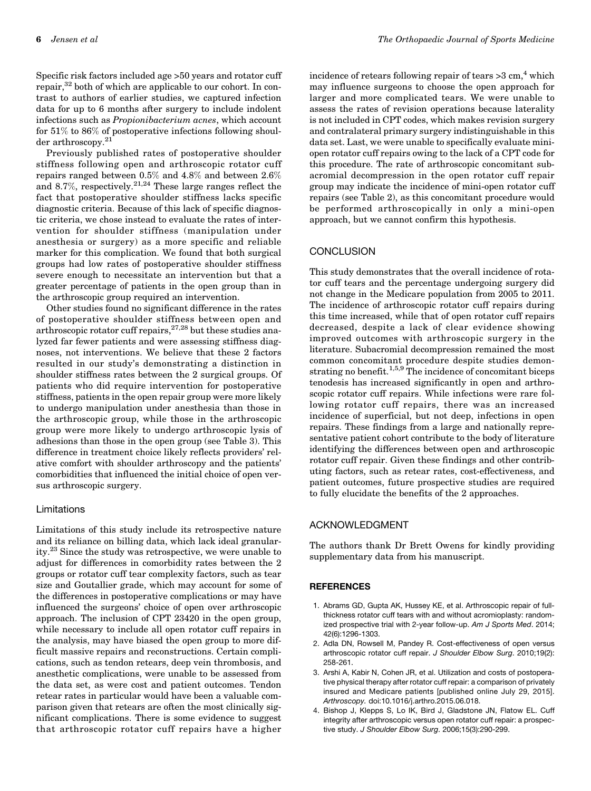Specific risk factors included age >50 years and rotator cuff repair, $32$  both of which are applicable to our cohort. In contrast to authors of earlier studies, we captured infection data for up to 6 months after surgery to include indolent infections such as Propionibacterium acnes, which account for 51% to 86% of postoperative infections following shoulder arthroscopy.<sup>21</sup>

Previously published rates of postoperative shoulder stiffness following open and arthroscopic rotator cuff repairs ranged between 0.5% and 4.8% and between 2.6% and 8.7%, respectively.<sup>21,24</sup> These large ranges reflect the fact that postoperative shoulder stiffness lacks specific diagnostic criteria. Because of this lack of specific diagnostic criteria, we chose instead to evaluate the rates of intervention for shoulder stiffness (manipulation under anesthesia or surgery) as a more specific and reliable marker for this complication. We found that both surgical groups had low rates of postoperative shoulder stiffness severe enough to necessitate an intervention but that a greater percentage of patients in the open group than in the arthroscopic group required an intervention.

Other studies found no significant difference in the rates of postoperative shoulder stiffness between open and arthroscopic rotator cuff repairs,27,28 but these studies analyzed far fewer patients and were assessing stiffness diagnoses, not interventions. We believe that these 2 factors resulted in our study's demonstrating a distinction in shoulder stiffness rates between the 2 surgical groups. Of patients who did require intervention for postoperative stiffness, patients in the open repair group were more likely to undergo manipulation under anesthesia than those in the arthroscopic group, while those in the arthroscopic group were more likely to undergo arthroscopic lysis of adhesions than those in the open group (see Table 3). This difference in treatment choice likely reflects providers' relative comfort with shoulder arthroscopy and the patients' comorbidities that influenced the initial choice of open versus arthroscopic surgery.

#### Limitations

Limitations of this study include its retrospective nature and its reliance on billing data, which lack ideal granularity.23 Since the study was retrospective, we were unable to adjust for differences in comorbidity rates between the 2 groups or rotator cuff tear complexity factors, such as tear size and Goutallier grade, which may account for some of the differences in postoperative complications or may have influenced the surgeons' choice of open over arthroscopic approach. The inclusion of CPT 23420 in the open group, while necessary to include all open rotator cuff repairs in the analysis, may have biased the open group to more difficult massive repairs and reconstructions. Certain complications, such as tendon retears, deep vein thrombosis, and anesthetic complications, were unable to be assessed from the data set, as were cost and patient outcomes. Tendon retear rates in particular would have been a valuable comparison given that retears are often the most clinically significant complications. There is some evidence to suggest that arthroscopic rotator cuff repairs have a higher

incidence of retears following repair of tears  $>3$  cm,<sup>4</sup> which may influence surgeons to choose the open approach for larger and more complicated tears. We were unable to assess the rates of revision operations because laterality is not included in CPT codes, which makes revision surgery and contralateral primary surgery indistinguishable in this data set. Last, we were unable to specifically evaluate miniopen rotator cuff repairs owing to the lack of a CPT code for this procedure. The rate of arthroscopic concomitant subacromial decompression in the open rotator cuff repair group may indicate the incidence of mini-open rotator cuff repairs (see Table 2), as this concomitant procedure would be performed arthroscopically in only a mini-open approach, but we cannot confirm this hypothesis.

# **CONCLUSION**

This study demonstrates that the overall incidence of rotator cuff tears and the percentage undergoing surgery did not change in the Medicare population from 2005 to 2011. The incidence of arthroscopic rotator cuff repairs during this time increased, while that of open rotator cuff repairs decreased, despite a lack of clear evidence showing improved outcomes with arthroscopic surgery in the literature. Subacromial decompression remained the most common concomitant procedure despite studies demonstrating no benefit.<sup>1,5,9</sup> The incidence of concomitant biceps tenodesis has increased significantly in open and arthroscopic rotator cuff repairs. While infections were rare following rotator cuff repairs, there was an increased incidence of superficial, but not deep, infections in open repairs. These findings from a large and nationally representative patient cohort contribute to the body of literature identifying the differences between open and arthroscopic rotator cuff repair. Given these findings and other contributing factors, such as retear rates, cost-effectiveness, and patient outcomes, future prospective studies are required to fully elucidate the benefits of the 2 approaches.

## ACKNOWLEDGMENT

The authors thank Dr Brett Owens for kindly providing supplementary data from his manuscript.

#### **REFERENCES**

- 1. Abrams GD, Gupta AK, Hussey KE, et al. Arthroscopic repair of fullthickness rotator cuff tears with and without acromioplasty: randomized prospective trial with 2-year follow-up. Am J Sports Med. 2014; 42(6):1296-1303.
- 2. Adla DN, Rowsell M, Pandey R. Cost-effectiveness of open versus arthroscopic rotator cuff repair. J Shoulder Elbow Surg. 2010;19(2): 258-261.
- 3. Arshi A, Kabir N, Cohen JR, et al. Utilization and costs of postoperative physical therapy after rotator cuff repair: a comparison of privately insured and Medicare patients [published online July 29, 2015]. Arthroscopy. doi:10.1016/j.arthro.2015.06.018.
- 4. Bishop J, Klepps S, Lo IK, Bird J, Gladstone JN, Flatow EL. Cuff integrity after arthroscopic versus open rotator cuff repair: a prospective study. J Shoulder Elbow Surg. 2006;15(3):290-299.